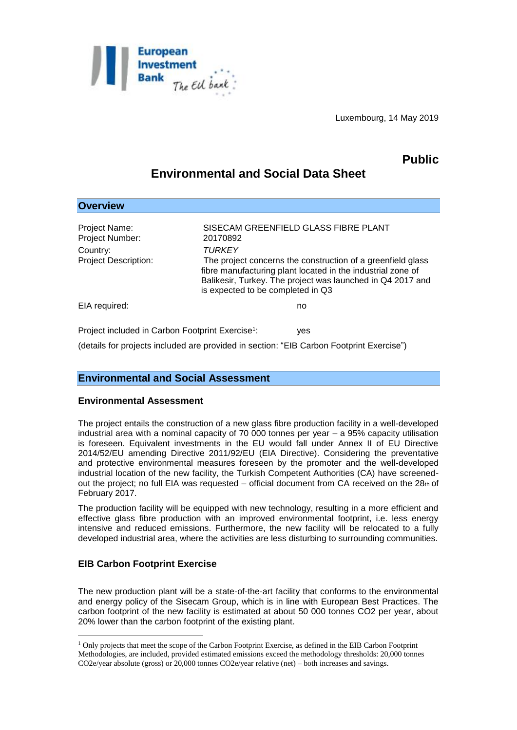

Luxembourg, 14 May 2019

## **Public**

# **Environmental and Social Data Sheet**

| <b>Overview</b>                                              |                                                                                                                                                                                                                                                |
|--------------------------------------------------------------|------------------------------------------------------------------------------------------------------------------------------------------------------------------------------------------------------------------------------------------------|
| Project Name:<br>Project Number:                             | SISECAM GREENFIELD GLASS FIBRE PLANT<br>20170892                                                                                                                                                                                               |
| Country:<br><b>Project Description:</b>                      | <b>TURKEY</b><br>The project concerns the construction of a greenfield glass<br>fibre manufacturing plant located in the industrial zone of<br>Balikesir, Turkey. The project was launched in Q4 2017 and<br>is expected to be completed in Q3 |
| EIA required:                                                | no                                                                                                                                                                                                                                             |
| Project included in Carbon Footprint Exercise <sup>1</sup> : | yes                                                                                                                                                                                                                                            |

(details for projects included are provided in section: "EIB Carbon Footprint Exercise")

## **Environmental and Social Assessment**

### **Environmental Assessment**

The project entails the construction of a new glass fibre production facility in a well-developed industrial area with a nominal capacity of 70 000 tonnes per year – a 95% capacity utilisation is foreseen. Equivalent investments in the EU would fall under Annex II of EU Directive 2014/52/EU amending Directive 2011/92/EU (EIA Directive). Considering the preventative and protective environmental measures foreseen by the promoter and the well-developed industrial location of the new facility, the Turkish Competent Authorities (CA) have screenedout the project; no full EIA was requested – official document from CA received on the  $28<sub>th</sub>$  of February 2017.

The production facility will be equipped with new technology, resulting in a more efficient and effective glass fibre production with an improved environmental footprint, i.e. less energy intensive and reduced emissions. Furthermore, the new facility will be relocated to a fully developed industrial area, where the activities are less disturbing to surrounding communities.

## **EIB Carbon Footprint Exercise**

1

The new production plant will be a state-of-the-art facility that conforms to the environmental and energy policy of the Sisecam Group, which is in line with European Best Practices. The carbon footprint of the new facility is estimated at about 50 000 tonnes CO2 per year, about 20% lower than the carbon footprint of the existing plant.

<sup>1</sup> Only projects that meet the scope of the Carbon Footprint Exercise, as defined in the EIB Carbon Footprint Methodologies, are included, provided estimated emissions exceed the methodology thresholds: 20,000 tonnes CO2e/year absolute (gross) or 20,000 tonnes CO2e/year relative (net) – both increases and savings.